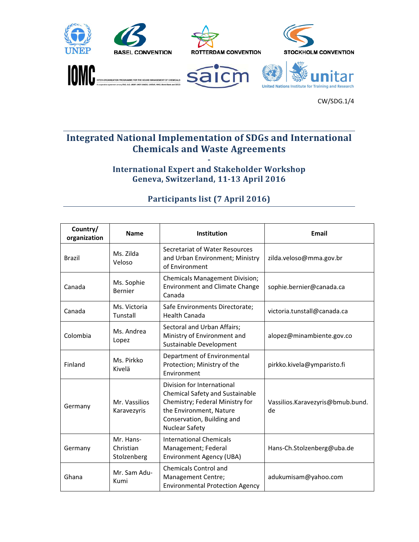

**IOMC** 







**STOCKHOLM CONVENTION** 

CW/SDG.1/4

## Integrated National Implementation of SDGs and International Chemicals and Waste Agreements

## - International Expert and Stakeholder Workshop Geneva, Switzerland, 11-13 April 2016

## Participants list (7 April 2016)

| Country/<br>organization | <b>Name</b>                           | Institution                                                                                                                                                                        | <b>Email</b>                           |
|--------------------------|---------------------------------------|------------------------------------------------------------------------------------------------------------------------------------------------------------------------------------|----------------------------------------|
| <b>Brazil</b>            | Ms. Zilda<br>Veloso                   | Secretariat of Water Resources<br>and Urban Environment; Ministry<br>of Environment                                                                                                | zilda.veloso@mma.gov.br                |
| Canada                   | Ms. Sophie<br>Bernier                 | <b>Chemicals Management Division;</b><br><b>Environment and Climate Change</b><br>Canada                                                                                           | sophie.bernier@canada.ca               |
| Canada                   | Ms. Victoria<br>Tunstall              | Safe Environments Directorate;<br><b>Health Canada</b>                                                                                                                             | victoria.tunstall@canada.ca            |
| Colombia                 | Ms. Andrea<br>Lopez                   | Sectoral and Urban Affairs;<br>Ministry of Environment and<br>Sustainable Development                                                                                              | alopez@minambiente.gov.co              |
| Finland                  | Ms. Pirkko<br>Kivelä                  | Department of Environmental<br>Protection; Ministry of the<br>Environment                                                                                                          | pirkko.kivela@ymparisto.fi             |
| Germany                  | Mr. Vassilios<br>Karavezyris          | Division for International<br>Chemical Safety and Sustainable<br>Chemistry; Federal Ministry for<br>the Environment, Nature<br>Conservation, Building and<br><b>Nuclear Safety</b> | Vassilios.Karavezyris@bmub.bund.<br>de |
| Germany                  | Mr. Hans-<br>Christian<br>Stolzenberg | <b>International Chemicals</b><br>Management; Federal<br><b>Environment Agency (UBA)</b>                                                                                           | Hans-Ch.Stolzenberg@uba.de             |
| Ghana                    | Mr. Sam Adu-<br>Kumi                  | <b>Chemicals Control and</b><br><b>Management Centre;</b><br><b>Environmental Protection Agency</b>                                                                                | adukumisam@yahoo.com                   |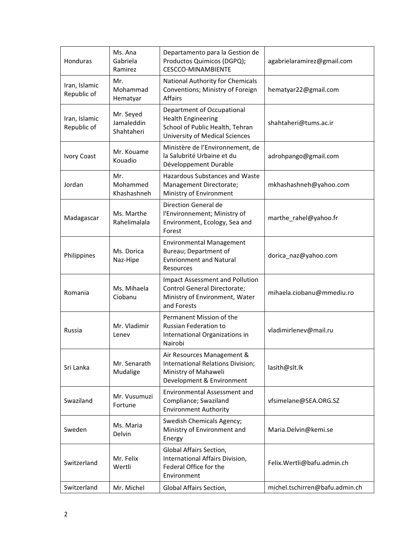| Honduras                     | Ms. Ana<br>Gabriela<br>Ramirez        | Departamento para la Gestion de<br>Productos Quimicos (DGPQ);<br><b>CESCCO-MINAMBIENTE</b>                                          | agabrielaramirez@gmail.com     |
|------------------------------|---------------------------------------|-------------------------------------------------------------------------------------------------------------------------------------|--------------------------------|
| Iran, Islamic<br>Republic of | Mr.<br>Mohammad<br>Hematyar           | National Authority for Chemicals<br>Conventions; Ministry of Foreign<br><b>Affairs</b>                                              | hematyar22@gmail.com           |
| Iran, Islamic<br>Republic of | Mr. Seyed<br>Jamaleddin<br>Shahtaheri | Department of Occupational<br><b>Health Engineering</b><br>School of Public Health, Tehran<br><b>University of Medical Sciences</b> | shahtaheri@tums.ac.ir          |
| <b>Ivory Coast</b>           | Mr. Kouame<br>Kouadio                 | Ministère de l'Environnement, de<br>la Salubrité Urbaine et du<br>Développement Durable                                             | adrohpango@gmail.com           |
| Jordan                       | Mr.<br>Mohammed<br>Khashashneh        | Hazardous Substances and Waste<br>Management Directorate;<br>Ministry of Environment                                                | mkhashashneh@yahoo.com         |
| Madagascar                   | Ms. Marthe<br>Rahelimalala            | Direction General de<br>l'Environnement; Ministry of<br>Environment, Ecology, Sea and<br>Forest                                     | marthe rahel@yahoo.fr          |
| Philippines                  | Ms. Dorica<br>Naz-Hipe                | <b>Environmental Management</b><br>Bureau; Department of<br><b>Evnrionment and Natural</b><br>Resources                             | dorica_naz@yahoo.com           |
| Romania                      | Ms. Mihaela<br>Ciobanu                | <b>Impact Assessment and Pollution</b><br><b>Control General Directorate;</b><br>Ministry of Environment, Water<br>and Forests      | mihaela.ciobanu@mmediu.ro      |
| Russia                       | Mr. Vladimir<br>Lenev                 | Permanent Mission of the<br>Russian Federation to<br>International Organizations in<br>Nairobi                                      | vladimirlenev@mail.ru          |
| Sri Lanka                    | Mr. Senarath<br>Mudalige              | Air Resources Management &<br>International Relations Division;<br>Ministry of Mahaweli<br>Development & Environment                | lasith@slt.lk                  |
| Swaziland                    | Mr. Vusumuzi<br>Fortune               | Environmental Assessment and<br>Compliance; Swaziland<br><b>Environment Authority</b>                                               | vfsimelane@SEA.ORG.SZ          |
| Sweden                       | Ms. Maria<br><b>Delvin</b>            | Swedish Chemicals Agency;<br>Ministry of Environment and<br>Energy                                                                  | Maria.Delvin@kemi.se           |
| Switzerland                  | Mr. Felix<br>Wertli                   | Global Affairs Section,<br>International Affairs Division,<br>Federal Office for the<br>Environment                                 | Felix. Wertli@bafu.admin.ch    |
| Switzerland                  | Mr. Michel                            | Global Affairs Section,                                                                                                             | michel.tschirren@bafu.admin.ch |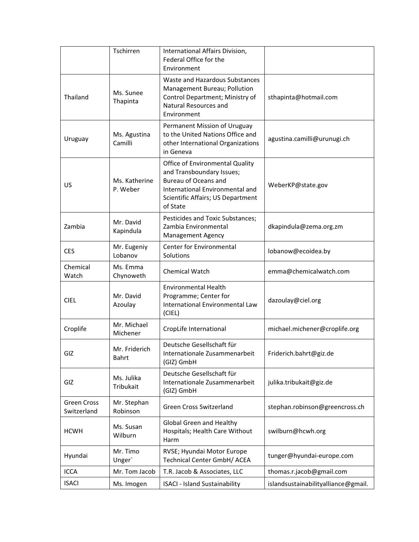|                                   | Tschirren                 | International Affairs Division,<br>Federal Office for the<br>Environment                                                                                                        |                                     |
|-----------------------------------|---------------------------|---------------------------------------------------------------------------------------------------------------------------------------------------------------------------------|-------------------------------------|
| Thailand                          | Ms. Sunee<br>Thapinta     | Waste and Hazardous Substances<br>Management Bureau; Pollution<br>Control Department; Ministry of<br>Natural Resources and<br>Environment                                       | sthapinta@hotmail.com               |
| Uruguay                           | Ms. Agustina<br>Camilli   | Permanent Mission of Uruguay<br>to the United Nations Office and<br>other International Organizations<br>in Geneva                                                              | agustina.camilli@urunugi.ch         |
| US                                | Ms. Katherine<br>P. Weber | Office of Environmental Quality<br>and Transboundary Issues;<br><b>Bureau of Oceans and</b><br>International Environmental and<br>Scientific Affairs; US Department<br>of State | WeberKP@state.gov                   |
| Zambia                            | Mr. David<br>Kapindula    | Pesticides and Toxic Substances;<br>Zambia Environmental<br><b>Management Agency</b>                                                                                            | dkapindula@zema.org.zm              |
| <b>CES</b>                        | Mr. Eugeniy<br>Lobanov    | <b>Center for Environmental</b><br>Solutions                                                                                                                                    | lobanow@ecoidea.by                  |
| Chemical<br>Watch                 | Ms. Emma<br>Chynoweth     | <b>Chemical Watch</b>                                                                                                                                                           | emma@chemicalwatch.com              |
| <b>CIEL</b>                       | Mr. David<br>Azoulay      | <b>Environmental Health</b><br>Programme; Center for<br>International Environmental Law<br>(CIEL)                                                                               | dazoulay@ciel.org                   |
| Croplife                          | Mr. Michael<br>Michener   | CropLife International                                                                                                                                                          | michael.michener@croplife.org       |
| GIZ                               | Mr. Friderich<br>Bahrt    | Deutsche Gesellschaft für<br>Internationale Zusammenarbeit<br>(GIZ) GmbH                                                                                                        | Friderich.bahrt@giz.de              |
| GIZ                               | Ms. Julika<br>Tribukait   | Deutsche Gesellschaft für<br>Internationale Zusammenarbeit<br>(GIZ) GmbH                                                                                                        | julika.tribukait@giz.de             |
| <b>Green Cross</b><br>Switzerland | Mr. Stephan<br>Robinson   | <b>Green Cross Switzerland</b>                                                                                                                                                  | stephan.robinson@greencross.ch      |
| <b>HCWH</b>                       | Ms. Susan<br>Wilburn      | Global Green and Healthy<br>Hospitals; Health Care Without<br>Harm                                                                                                              | swilburn@hcwh.org                   |
| Hyundai                           | Mr. Timo<br>Unger`        | RVSE; Hyundai Motor Europe<br>Technical Center GmbH/ ACEA                                                                                                                       | tunger@hyundai-europe.com           |
| <b>ICCA</b>                       | Mr. Tom Jacob             | T.R. Jacob & Associates, LLC                                                                                                                                                    | thomas.r.jacob@gmail.com            |
| <b>ISACI</b>                      | Ms. Imogen                | <b>ISACI - Island Sustainability</b>                                                                                                                                            | islandsustainabilityalliance@gmail. |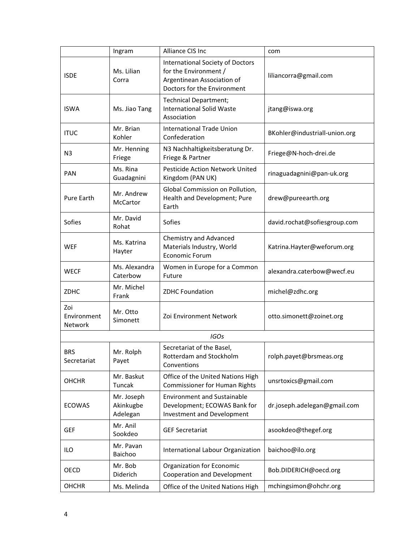|                               | Ingram                              | Alliance CIS Inc.                                                                                                      | com                           |
|-------------------------------|-------------------------------------|------------------------------------------------------------------------------------------------------------------------|-------------------------------|
| <b>ISDE</b>                   | Ms. Lilian<br>Corra                 | International Society of Doctors<br>for the Environment /<br>Argentinean Association of<br>Doctors for the Environment | liliancorra@gmail.com         |
| <b>ISWA</b>                   | Ms. Jiao Tang                       | Technical Department;<br><b>International Solid Waste</b><br>Association                                               | jtang@iswa.org                |
| <b>ITUC</b>                   | Mr. Brian<br>Kohler                 | <b>International Trade Union</b><br>Confederation                                                                      | BKohler@industriall-union.org |
| N <sub>3</sub>                | Mr. Henning<br>Friege               | N3 Nachhaltigkeitsberatung Dr.<br>Friege & Partner                                                                     | Friege@N-hoch-drei.de         |
| <b>PAN</b>                    | Ms. Rina<br>Guadagnini              | Pesticide Action Network United<br>Kingdom (PAN UK)                                                                    | rinaguadagnini@pan-uk.org     |
| Pure Earth                    | Mr. Andrew<br><b>McCartor</b>       | Global Commission on Pollution,<br>Health and Development; Pure<br>Earth                                               | drew@pureearth.org            |
| Sofies                        | Mr. David<br>Rohat                  | <b>Sofies</b>                                                                                                          | david.rochat@sofiesgroup.com  |
| <b>WEF</b>                    | Ms. Katrina<br>Hayter               | <b>Chemistry and Advanced</b><br>Materials Industry, World<br><b>Economic Forum</b>                                    | Katrina.Hayter@weforum.org    |
| <b>WECF</b>                   | Ms. Alexandra<br>Caterbow           | Women in Europe for a Common<br>Future                                                                                 | alexandra.caterbow@wecf.eu    |
| ZDHC                          | Mr. Michel<br>Frank                 | <b>ZDHC Foundation</b>                                                                                                 | michel@zdhc.org               |
| Zoi<br>Environment<br>Network | Mr. Otto<br>Simonett                | Zoi Environment Network                                                                                                | otto.simonett@zoinet.org      |
|                               |                                     | <b>IGOs</b>                                                                                                            |                               |
| <b>BRS</b><br>Secretariat     | Mr. Rolph<br>Payet                  | Secretariat of the Basel,<br>Rotterdam and Stockholm<br>Conventions                                                    | rolph.payet@brsmeas.org       |
| <b>OHCHR</b>                  | Mr. Baskut<br>Tuncak                | Office of the United Nations High<br><b>Commissioner for Human Rights</b>                                              | unsrtoxics@gmail.com          |
| <b>ECOWAS</b>                 | Mr. Joseph<br>Akinkugbe<br>Adelegan | <b>Environment and Sustainable</b><br>Development; ECOWAS Bank for<br><b>Investment and Development</b>                | dr.joseph.adelegan@gmail.com  |
| <b>GEF</b>                    | Mr. Anil<br>Sookdeo                 | <b>GEF Secretariat</b>                                                                                                 | asookdeo@thegef.org           |
| ILO                           | Mr. Pavan<br>Baichoo                | International Labour Organization                                                                                      | baichoo@ilo.org               |
| <b>OECD</b>                   | Mr. Bob<br>Diderich                 | <b>Organization for Economic</b><br><b>Cooperation and Development</b>                                                 | Bob.DIDERICH@oecd.org         |
| <b>OHCHR</b>                  | Ms. Melinda                         | Office of the United Nations High                                                                                      | mchingsimon@ohchr.org         |